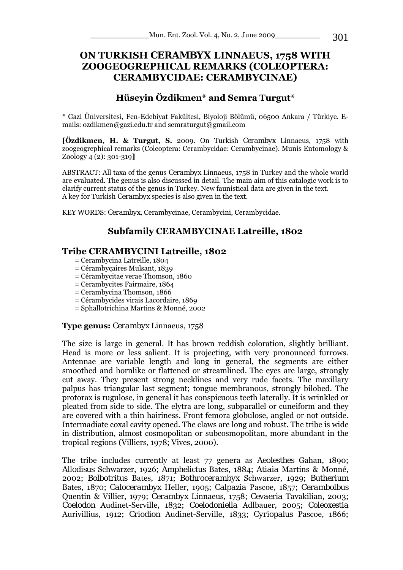# **ON TURKISH** *CERAMBYX* **LINNAEUS, 1758 WITH ZOOGEOGREPHICAL REMARKS (COLEOPTERA: CERAMBYCIDAE: CERAMBYCINAE)**

## **Hüseyin Özdikmen\* and Semra Turgut\***

\* Gazi Üniversitesi, Fen-Edebiyat Fakültesi, Biyoloji Bölümü, 06500 Ankara / Türkiye. Emails: ozdikmen@gazi.edu.tr and semraturgut@gmail.com

**[Özdikmen, H. & Turgut, S.** 2009. On Turkish *Cerambyx* Linnaeus, 1758 with zoogeogrephical remarks (Coleoptera: Cerambycidae: Cerambycinae). Munis Entomology & Zoology 4 (2): 301-319**]** 

ABSTRACT: All taxa of the genus *Cerambyx* Linnaeus, 1758 in Turkey and the whole world are evaluated. The genus is also discussed in detail. The main aim of this catalogic work is to clarify current status of the genus in Turkey. New faunistical data are given in the text. A key for Turkish *Cerambyx* species is also given in the text.

KEY WORDS: *Cerambyx,* Cerambycinae, Cerambycini, Cerambycidae.

# **Subfamily CERAMBYCINAE Latreille, 1802**

#### **Tribe CERAMBYCINI Latreille, 1802**

- = Cerambycina Latreille, 1804
- = Cérambyçaires Mulsant, 1839
- = Cérambycitae verae Thomson, 1860
- = Cerambycites Fairmaire, 1864
- = Cerambycina Thomson, 1866
- = Cérambycides virais Lacordaire, 1869
- = Sphallotrichina Martins & Monné, 2002

#### **Type genus:** *Cerambyx* Linnaeus, 1758

The size is large in general. It has brown reddish coloration, slightly brilliant. Head is more or less salient. It is projecting, with very pronounced furrows. Antennae are variable length and long in general, the segments are either smoothed and hornlike or flattened or streamlined. The eyes are large, strongly cut away. They present strong necklines and very rude facets. The maxillary palpus has triangular last segment; tongue membranous, strongly bilobed. The protorax is rugulose, in general it has conspicuous teeth laterally. It is wrinkled or pleated from side to side. The elytra are long, subparallel or cuneiform and they are covered with a thin hairiness. Front femora globulose, angled or not outside. Intermadiate coxal cavity opened. The claws are long and robust. The tribe is wide in distribution, almost cosmopolitan or subcosmopolitan, more abundant in the tropical regions (Villiers, 1978; Vives, 2000).

The tribe includes currently at least 77 genera as *Aeolesthes* Gahan, 1890; *Allodisus* Schwarzer, 1926; *Amphelictus* Bates, 1884; *Atiaia* Martins & Monné, 2002; *Bolbotritus* Bates, 1871; *Bothrocerambyx* Schwarzer, 1929; *Butherium* Bates, 1870; *Calocerambyx* Heller, 1905; *Calpazia* Pascoe, 1857; *Cerambolbus* Quentin & Villier, 1979; *Cerambyx* Linnaeus, 1758; *Cevaeria* Tavakilian, 2003; *Coelodon* Audinet-Serville, 1832; *Coelodoniella* Adlbauer, 2005; *Coleoxestia* Aurivillius, 1912; *Criodion* Audinet-Serville, 1833; *Cyriopalus* Pascoe, 1866;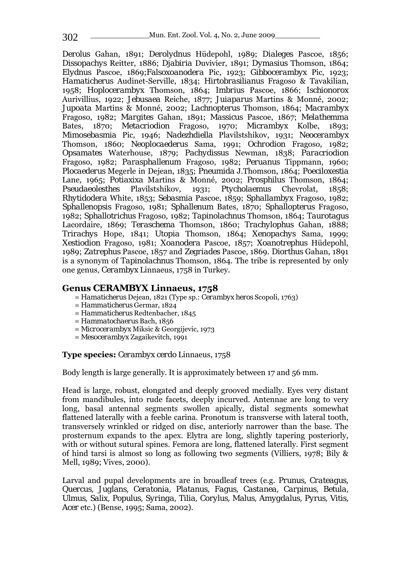*Derolus* Gahan, 1891; *Derolydnus* Hüdepohl, 1989; *Dialeges* Pascoe, 1856; *Dissopachys* Reitter, 1886; *Djabiria* Duvivier, 1891; *Dymasius* Thomson, 1864; *Elydnus* Pascoe, 1869;*Falsoxoanodera* Pic, 1923; *Gibbocerambyx* Pic, 1923; *Hamaticherus* Audinet-Serville, 1834; *Hirtobrasilianus* Fragoso & Tavakilian, 1958; *Hoplocerambyx* Thomson, 1864; *Imbrius* Pascoe, 1866; *Ischionorox* Aurivillius, 1922; *Jebusaea* Reiche, 1877; *Juiaparus* Martins & Monné, 2002; *Jupoata* Martins & Monné, 2002; *Lachnopterus* Thomson, 1864; *Macrambyx* Fragoso, 1982; *Margites* Gahan, 1891; *Massicus* Pascoe, 1867; *Melathemma* Bates, 1870; *Metacriodion* Fragoso, 1970; *Micrambyx* Kolbe, 1893; *Mimosebasmia* Pic, 1946; *Nadezhdiella* Plavilstshikov, 1931; *Neocerambyx* Thomson, 1860; *Neoplocaederus* Sama, 1991; *Ochrodion* Fragoso, 1982; *Opsamates* Waterhouse, 1879; *Pachydissus* Newman, 1838; *Paracriodion* Fragoso, 1982; *Parasphallenum* Fragoso, 1982; *Peruanus* Tippmann, 1960; *Plocaederus* Megerle in Dejean, 1835; *Pneumida* J.Thomson, 1864; *Poeciloxestia* Lane, 1965; *Potiaxixa* Martins & Monné, 2002; *Prosphilus* Thomson, 1864; *Pseudaeolesthes* Plavilstshikov, 1931; *Ptycholaemus* Chevrolat, 1858; *Rhytidodera* White, 1853; *Sebasmia* Pascoe, 1859; *Sphallambyx* Fragoso, 1982; *Sphallenopsis* Fragoso, 1981; *Sphallenum* Bates, 1870; *Sphallopterus* Fragoso, 1982; *Sphallotrichus* Fragoso, 1982; *Tapinolachnus* Thomson, 1864; *Taurotagus* Lacordaire, 1869; *Teraschema* Thomson, 1860; *Trachylophus* Gahan, 1888; *Trirachys* Hope, 1841; *Utopia* Thomson, 1864; *Xenopachys* Sama, 1999; *Xestiodion* Fragoso, 1981; *Xoanodera* Pascoe, 1857; *Xoanotrephus* Hüdepohl, 1989; *Zatrephus* Pascoe, 1857 and *Zegriades* Pascoe, 1869. *Diorthus* Gahan, 1891 is a synonym of *Tapinolachnus* Thomson, 1864. The tribe is represented by only one genus*, Cerambyx* Linnaeus, 1758 in Turkey.

#### **Genus** *CERAMBYX* **Linnaeus, 1758**

- = *Hamaticherus* Dejean, 1821 (Type sp.: *Cerambyx heros* Scopoli, 1763)
- = *Hammaticherus* Germar, 1824
- = *Hammaticherus* Redtenbacher, 1845
- = *Hammatochaerus* Bach, 1856
- = *Microcerambyx* Miksic & Georgijevic, 1973
- = *Mesocerambyx* Zagaikevitch, 1991

#### **Type species:** *Cerambyx cerdo* Linnaeus, 1758

Body length is large generally. It is approximately between 17 and 56 mm.

Head is large, robust, elongated and deeply grooved medially. Eyes very distant from mandibules, into rude facets, deeply incurved. Antennae are long to very long, basal antennal segments swollen apically, distal segments somewhat flattened laterally with a feeble carina. Pronotum is transverse with lateral tooth, transversely wrinkled or ridged on disc, anteriorly narrower than the base. The prosternum expands to the apex. Elytra are long, slightly tapering posteriorly, with or without sutural spines. Femora are long, flattened laterally. First segment of hind tarsi is almost so long as following two segments (Villiers, 1978; Bily & Mell, 1989; Vives, 2000).

Larval and pupal developments are in broadleaf trees (e.g. *Prunus, Crateagus, Quercus, Juglans, Ceratonia, Platanus, Fagus, Castanea, Carpinus, Betula, Ulmus, Salix, Populus, Syringa, Tilia, Corylus, Malus, Amygdalus, Pyrus, Vitis, Acer* etc.) (Bense, 1995; Sama, 2002).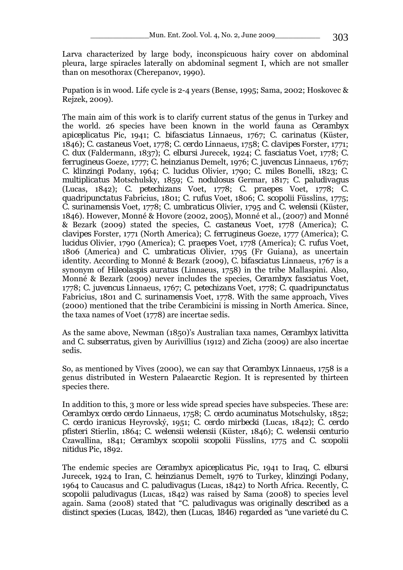Larva characterized by large body, inconspicuous hairy cover on abdominal pleura, large spiracles laterally on abdominal segment I, which are not smaller than on mesothorax (Cherepanov, 1990).

Pupation is in wood. Life cycle is 2-4 years (Bense, 1995; Sama, 2002; Hoskovec & Rejzek, 2009).

The main aim of this work is to clarify current status of the genus in Turkey and the world. 26 species have been known in the world fauna as *Cerambyx apiceplicatus* Pic, 1941; *C. bifasciatus* Linnaeus, 1767; *C. carinatus* (Küster, 1846); *C. castaneus* Voet, 1778; *C. cerdo* Linnaeus, 1758; *C. clavipes* Forster, 1771; *C. dux* (Faldermann, 1837); *C. elbursi* Jurecek, 1924; *C. fasciatus* Voet, 1778; *C. ferrugineus* Goeze, 1777; *C. heinzianus* Demelt, 1976; *C. juvencus* Linnaeus, 1767; *C. klinzingi* Podany, 1964; *C. lucidus* Olivier, 1790; *C. miles* Bonelli, 1823; *C. multiplicatus* Motschulsky, 1859; *C. nodulosus* Germar, 1817; *C. paludivagus* (Lucas, 1842); *C. petechizans* Voet, 1778; *C. praepes* Voet, 1778; *C. quadripunctatus* Fabricius, 1801; *C. rufus* Voet, 1806; *C. scopolii* Füsslins, 1775; *C. surinamensis* Voet, 1778; *C. umbraticus* Olivier, 1795 and *C. welensii* (Küster, 1846). However, Monné & Hovore (2002, 2005), Monné et al., (2007) and Monné & Bezark (2009) stated the species, *C. castaneus* Voet, 1778 (America); *C. clavipes* Forster, 1771 (North America); *C. ferrugineus* Goeze, 1777 (America); *C. lucidus* Olivier, 1790 (America); *C. praepes* Voet, 1778 (America); *C. rufus* Voet, 1806 (America) and *C. umbraticus* Olivier, 1795 (Fr Guiana), as uncertain identity. According to Monné & Bezark (2009), *C. bifasciatus* Linnaeus, 1767 is a synonym of *Hileolaspis auratus* (Linnaeus, 1758) in the tribe Mallaspini. Also, Monné & Bezark (2009) never includes the species, *Cerambyx fasciatus* Voet, 1778; *C. juvencus* Linnaeus, 1767; *C. petechizans* Voet, 1778; *C. quadripunctatus* Fabricius, 1801 and *C. surinamensis* Voet, 1778. With the same approach, Vives (2000) mentioned that the tribe Cerambicini is missing in North America. Since, the taxa names of Voet (1778) are incertae sedis.

As the same above, Newman (1850)'s Australian taxa names, *Cerambyx lativitta*  and *C. subserratus*, given by Aurivillius (1912) and Zicha (2009) are also incertae sedis.

So, as mentioned by Vives (2000), we can say that *Cerambyx* Linnaeus, 1758 is a genus distributed in Western Palaearctic Region. It is represented by thirteen species there.

In addition to this, 3 more or less wide spread species have subspecies. These are: *Cerambyx cerdo cerdo* Linnaeus, 1758; *C. cerdo acuminatus* Motschulsky, 1852; *C. cerdo iranicus* Heyrovský, 1951; *C. cerdo mirbecki* (Lucas, 1842); *C. cerdo pfisteri* Stierlin, 1864; *C. welensii welensii* (Küster, 1846); *C. welensii centurio*  Czawallina, 1841; *Cerambyx scopolii scopolii* Füsslins, 1775 and *C. scopolii nitidus* Pic, 1892.

The endemic species are *Cerambyx apiceplicatus* Pic, 1941 to Iraq, *C. elbursi* Jurecek, 1924 to Iran, *C. heinzianus* Demelt, 1976 to Turkey, *klinzingi* Podany, 1964 to Caucasus and *C. paludivagus* (Lucas, 1842) to North Africa. Recently, *C. scopolii paludivagus* (Lucas, 1842) was raised by Sama (2008) to species level again. Sama (2008) stated that "*C. paludivagus was originally described as a distinct species (Lucas, 1842), then (Lucas, 1846) regarded as "une varieté du C.*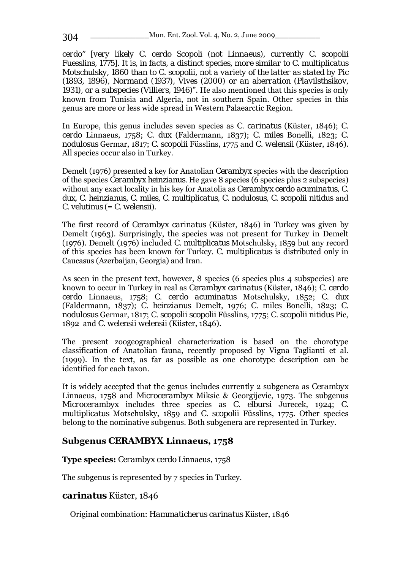*cerdo" [very likely C. cerdo Scopoli (not Linnaeus), currently C. scopolii Fuesslins, 1775]. It is, in facts, a distinct species, more similar to C. multiplicatus Motschulsky, 1860 than to C. scopolii, not a variety of the latter as stated by Pic (1893, 1896), Normand (1937), Vives (2000) or an aberration (Plavilsthsikov, 1931), or a subspecies (Villiers, 1946)*". He also mentioned that this species is only known from Tunisia and Algeria, not in southern Spain. Other species in this genus are more or less wide spread in Western Palaearctic Region.

In Europe, this genus includes seven species as *C. carinatus* (Küster, 1846); *C. cerdo* Linnaeus, 1758; *C. dux* (Faldermann, 1837); *C. miles* Bonelli, 1823; *C. nodulosus* Germar, 1817; *C. scopolii* Füsslins, 1775 and *C. welensii* (Küster, 1846). All species occur also in Turkey.

Demelt (1976) presented a key for Anatolian *Cerambyx* species with the description of the species *Cerambyx heinzianus.* He gave 8 species (6 species plus 2 subspecies) without any exact locality in his key for Anatolia as *Cerambyx cerdo acuminatus, C. dux, C. heinzianus, C. miles, C. multiplicatus, C. nodulosus, C. scopolii nitidus* and *C. velutinus* (= *C. welensii*).

The first record of *Cerambyx carinatus* (Küster, 1846) in Turkey was given by Demelt (1963). Surprisingly, the species was not present for Turkey in Demelt (1976). Demelt (1976) included *C. multiplicatus* Motschulsky, 1859 but any record of this species has been known for Turkey. *C. multiplicatus* is distributed only in Caucasus (Azerbaijan, Georgia) and Iran.

As seen in the present text, however, 8 species (6 species plus 4 subspecies) are known to occur in Turkey in real as *Cerambyx carinatus* (Küster, 1846); *C. cerdo cerdo* Linnaeus, 1758; *C. cerdo acuminatus* Motschulsky, 1852; *C. dux* (Faldermann, 1837); *C. heinzianus* Demelt, 1976; *C. miles* Bonelli, 1823; *C. nodulosus* Germar, 1817; *C. scopolii scopolii* Füsslins, 1775; *C. scopolii nitidus* Pic, 1892 and *C. welensii welensii* (Küster, 1846).

The present zoogeographical characterization is based on the chorotype classification of Anatolian fauna, recently proposed by Vigna Taglianti et al. (1999). In the text, as far as possible as one chorotype description can be identified for each taxon.

It is widely accepted that the genus includes currently 2 subgenera as *Cerambyx*  Linnaeus, 1758 and *Microcerambyx* Miksic & Georgijevic, 1973. The subgenus *Microcerambyx* includes three species as *C. elbursi* Jurecek, 1924; *C. multiplicatus* Motschulsky, 1859 and *C. scopolii* Füsslins, 1775. Other species belong to the nominative subgenus. Both subgenera are represented in Turkey.

## **Subgenus** *CERAMBYX* **Linnaeus, 1758**

**Type species:** *Cerambyx cerdo* Linnaeus, 1758

The subgenus is represented by 7 species in Turkey.

### *carinatus* Küster, 1846

Original combination: *Hammaticherus carinatus* Küster, 1846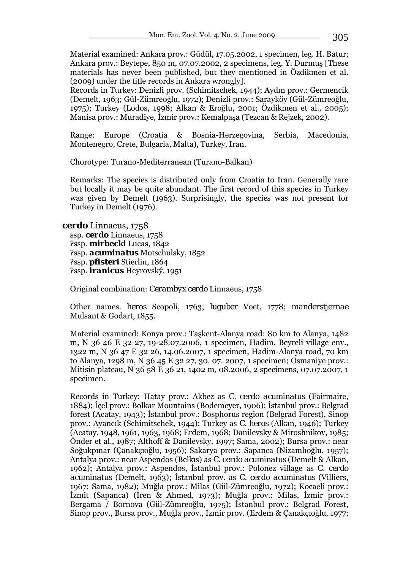Material examined: Ankara prov.: Güdül, 17.05.2002, 1 specimen, leg. H. Batur; Ankara prov.: Beytepe, 850 m, 07.07.2002, 2 specimens, leg. Y. Durmuş [These materials has never been published, but they mentioned in Özdikmen et al. (2009) under the title records in Ankara wrongly].

Records in Turkey: Denizli prov. (Schimitschek, 1944); Aydın prov.: Germencik (Demelt, 1963; Gül-Zümreoğlu, 1972); Denizli prov.: Sarayköy (Gül-Zümreoğlu, 1975); Turkey (Lodos, 1998; Alkan & Eroğlu, 2001; Özdikmen et al., 2005); Manisa prov.: Muradiye, İzmir prov.: Kemalpaşa (Tezcan & Rejzek, 2002).

Range: Europe (Croatia & Bosnia-Herzegovina, Serbia, Macedonia, Montenegro, Crete, Bulgaria, Malta), Turkey, Iran.

Chorotype: Turano-Mediterranean (Turano-Balkan)

Remarks: The species is distributed only from Croatia to Iran. Generally rare but locally it may be quite abundant. The first record of this species in Turkey was given by Demelt (1963). Surprisingly, the species was not present for Turkey in Demelt (1976).

*cerdo* Linnaeus, 1758

 ssp. *cerdo* Linnaeus, 1758 ?ssp. *mirbecki* Lucas, 1842 ?ssp. *acuminatus* Motschulsky, 1852 ?ssp. *pfisteri* Stierlin, 1864 ?ssp. *iranicus* Heyrovský, 1951

Original combination: *Cerambyx cerdo* Linnaeus, 1758

Other names. *heros* Scopoli, 1763; *luguber* Voet, 1778; *manderstjernae*  Mulsant & Godart, 1855.

Material examined: Konya prov.: Taşkent-Alanya road: 80 km to Alanya, 1482 m, N 36 46 E 32 27, 19-28.07.2006, 1 specimen, Hadim, Beyreli village env., 1322 m, N 36 47 E 32 26, 14.06.2007, 1 specimen, Hadim-Alanya road, 70 km to Alanya, 1298 m, N 36 45 E 32 27, 30. 07. 2007, 1 specimen; Osmaniye prov.: Mitisin plateau, N 36 58 E 36 21, 1402 m, 08.2006, 2 specimens, 07.07.2007, 1 specimen.

Records in Turkey: Hatay prov.: Akbez as *C. cerdo acuminatus* (Fairmaire, 1884); İçel prov.: Bolkar Mountains (Bodemeyer, 1906); İstanbul prov.: Belgrad forest (Acatay, 1943); İstanbul prov.: Bosphorus region (Belgrad Forest), Sinop prov.: Ayancık (Schimitschek, 1944); Turkey as *C. heros* (Alkan, 1946); Turkey (Acatay, 1948, 1961, 1963, 1968; Erdem, 1968; Danilevsky & Miroshnikov, 1985; Önder et al., 1987; Althoff & Danilevsky, 1997; Sama, 2002); Bursa prov.: near Soğukpınar (Çanakçıoğlu, 1956); Sakarya prov.: Sapanca (Nizamlıoğlu, 1957); Antalya prov.: near Aspendos (Belkıs) as *C. cerdo acuminatus* (Demelt & Alkan, 1962); Antalya prov.: Aspendos, İstanbul prov.: Polonez village as *C. cerdo acuminatus* (Demelt, 1963); İstanbul prov. as *C. cerdo acuminatus* (Villiers, 1967; Sama, 1982); Muğla prov.: Milas (Gül-Zümreoğlu, 1972); Kocaeli prov.: İzmit (Sapanca) (İren & Ahmed, 1973); Muğla prov.: Milas, İzmir prov.: Bergama / Bornova (Gül-Zümreoğlu, 1975); İstanbul prov.: Belgrad Forest, Sinop prov., Bursa prov., Muğla prov., İzmir prov. (Erdem & Çanakçıoğlu, 1977;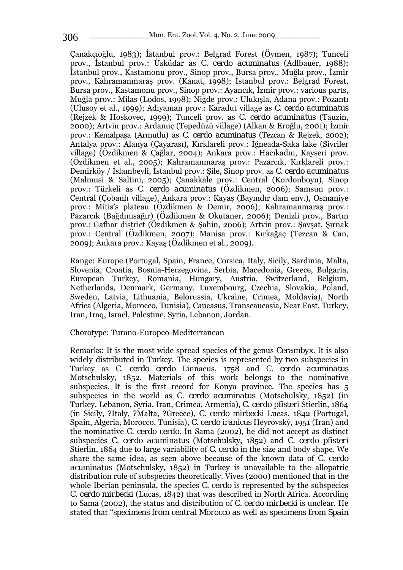Çanakçıoğlu, 1983); İstanbul prov.: Belgrad Forest (Öymen, 1987); Tunceli prov., İstanbul prov.: Üsküdar as *C. cerdo acuminatus* (Adlbauer, 1988); İstanbul prov., Kastamonu prov., Sinop prov., Bursa prov., Muğla prov., İzmir prov., Kahramanmaraş prov. (Kanat, 1998); İstanbul prov.: Belgrad Forest, Bursa prov., Kastamonu prov., Sinop prov.: Ayancık, İzmir prov.: various parts, Muğla prov.: Milas (Lodos, 1998); Niğde prov.: Ulukışla, Adana prov.: Pozantı (Ulusoy et al., 1999); Adıyaman prov.: Karadut village as *C. cerdo acuminatus* (Rejzek & Hoskovec, 1999); Tunceli prov. as *C. cerdo acuminatus* (Tauzin, 2000); Artvin prov.: Ardanuç (Tepedüzü village) (Alkan & Eroğlu, 2001); İzmir prov.: Kemalpaşa (Armutlu) as *C. cerdo acuminatus* (Tezcan & Rejzek, 2002); Antalya prov.: Alanya (Çayarası), Kırklareli prov.: İğneada-Saka lake (Sivriler village) (Özdikmen & Çağlar, 2004); Ankara prov.: Hacıkadın, Kayseri prov. (Özdikmen et al., 2005); Kahramanmaraş prov.: Pazarcık, Kırklareli prov.: Demirköy / İslambeyli, İstanbul prov.: Şile, Sinop prov. as *C. cerdo acuminatus* (Malmusi & Saltini, 2005); Çanakkale prov.: Central (Kordonboyu), Sinop prov.: Türkeli as *C. cerdo acuminatus* (Özdikmen, 2006); Samsun prov.: Central (Çobanlı village), Ankara prov.: Kayaş (Bayındır dam env.), Osmaniye prov.: Mitis's plateau (Özdikmen & Demir, 2006); Kahramanmaraş prov.: Pazarcık (Bağdınısağır) (Özdikmen & Okutaner, 2006); Denizli prov., Bartın prov.: Gafhar district (Özdikmen & Şahin, 2006); Artvin prov.: Şavşat, Şırnak prov.: Central (Özdikmen, 2007); Manisa prov.: Kırkağaç (Tezcan & Can, 2009); Ankara prov.: Kayaş (Özdikmen et al., 2009).

Range: Europe (Portugal, Spain, France, Corsica, Italy, Sicily, Sardinia, Malta, Slovenia, Croatia, Bosnia-Herzegovina, Serbia, Macedonia, Greece, Bulgaria, European Turkey, Romania, Hungary, Austria, Switzerland, Belgium, Netherlands, Denmark, Germany, Luxembourg, Czechia, Slovakia, Poland, Sweden, Latvia, Lithuania, Belorussia, Ukraine, Crimea, Moldavia), North Africa (Algeria, Morocco, Tunisia), Caucasus, Transcaucasia, Near East, Turkey, Iran, Iraq, Israel, Palestine, Syria, Lebanon, Jordan.

#### Chorotype: Turano-Europeo-Mediterranean

Remarks: It is the most wide spread species of the genus *Cerambyx.* It is also widely distributed in Turkey. The species is represented by two subspecies in Turkey as *C. cerdo cerdo* Linnaeus, 1758 and *C. cerdo acuminatus*  Motschulsky, 1852. Materials of this work belongs to the nominative subspecies. It is the first record for Konya province. The species has 5 subspecies in the world as *C. cerdo acuminatus* (Motschulsky, 1852) (in Turkey, Lebanon, Syria, Iran, Crimea, Armenia), *C. cerdo pfisteri* Stierlin, 1864 (in Sicily, ?Italy, ?Malta, ?Greece), *C. cerdo mirbecki* Lucas, 1842 (Portugal, Spain, Algeria, Morocco, Tunisia), *C. cerdo iranicus* Heyrovský, 1951 (Iran) and the nominative *C. cerdo cerdo.* In Sama (2002), he did not accept as distinct subspecies *C. cerdo acuminatus* (Motschulsky, 1852) and *C. cerdo pfisteri*  Stierlin, 1864 due to large variability of *C. cerdo* in the size and body shape. We share the same idea, as seen above because of the known data of *C. cerdo acuminatus* (Motschulsky, 1852) in Turkey is unavailable to the allopatric distribution rule of subspecies theoretically. Vives (2000) mentioned that in the whole Iberian peninsula, the species *C. cerdo* is represented by the subspecies *C. cerdo mirbecki* (Lucas, 1842) that was described in North Africa. According to Sama (2002), the status and distribution of *C. cerdo mirbecki* is unclear. He stated that "*specimens from central Morocco as well as specimens from Spain*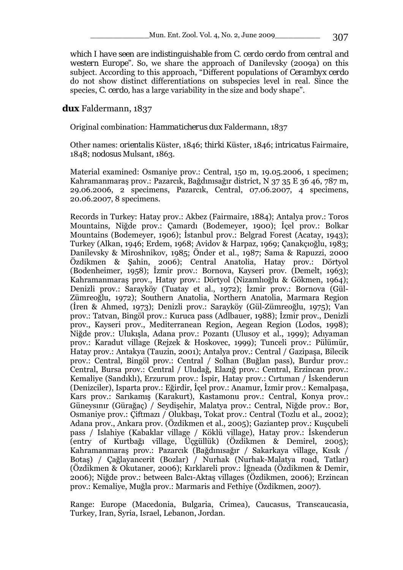*which I have seen are indistinguishable from C. cerdo cerdo from central and western Europe*". So, we share the approach of Danilevsky (2009a) on this subject. According to this approach, "Different populations of *Cerambyx cerdo* do not show distinct differentiations on subspecies level in real. Since the species, *C. cerdo,* has a large variability in the size and body shape".

#### *dux* Faldermann, 1837

Original combination: *Hammaticherus dux* Faldermann, 1837

Other names: *orientalis* Küster, 1846; *thirki* Küster, 1846; *intricatus* Fairmaire, 1848; *nodosus* Mulsant, 1863.

Material examined: Osmaniye prov.: Central, 150 m, 19.05.2006, 1 specimen; Kahramanmaraş prov.: Pazarcık, Bağdınısağır district, N 37 35 E 36 46, 787 m, 29.06.2006, 2 specimens, Pazarcık, Central, 07.06.2007, 4 specimens, 20.06.2007, 8 specimens.

Records in Turkey: Hatay prov.: Akbez (Fairmaire, 1884); Antalya prov.: Toros Mountains, Niğde prov.: Çamardı (Bodemeyer, 1900); İçel prov.: Bolkar Mountains (Bodemeyer, 1906); İstanbul prov.: Belgrad Forest (Acatay, 1943); Turkey (Alkan, 1946; Erdem, 1968; Avidov & Harpaz, 1969; Çanakçıoğlu, 1983; Danilevsky & Miroshnikov, 1985; Önder et al., 1987; Sama & Rapuzzi, 2000 Özdikmen & Şahin, 2006); Central Anatolia, Hatay prov.: Dörtyol (Bodenheimer, 1958); İzmir prov.: Bornova, Kayseri prov. (Demelt, 1963); Kahramanmaraş prov., Hatay prov.: Dörtyol (Nizamlıoğlu & Gökmen, 1964); Denizli prov.: Sarayköy (Tuatay et al., 1972); İzmir prov.: Bornova (Gül-Zümreoğlu, 1972); Southern Anatolia, Northern Anatolia, Marmara Region (İren & Ahmed, 1973); Denizli prov.: Sarayköy (Gül-Zümreoğlu, 1975); Van prov.: Tatvan, Bingöl prov.: Kuruca pass (Adlbauer, 1988); İzmir prov., Denizli prov., Kayseri prov., Mediterranean Region, Aegean Region (Lodos, 1998); Niğde prov.: Ulukışla, Adana prov.: Pozantı (Ulusoy et al., 1999); Adıyaman prov.: Karadut village (Rejzek & Hoskovec, 1999); Tunceli prov.: Pülümür, Hatay prov.: Antakya (Tauzin, 2001); Antalya prov.: Central / Gazipaşa, Bilecik prov.: Central, Bingöl prov.: Central / Solhan (Buğlan pass), Burdur prov.: Central, Bursa prov.: Central / Uludağ, Elazığ prov.: Central, Erzincan prov.: Kemaliye (Sandıklı), Erzurum prov.: İspir, Hatay prov.: Cırtıman / İskenderun (Denizciler), Isparta prov.: Eğirdir, İçel prov.: Anamur, İzmir prov.: Kemalpaşa, Kars prov.: Sarıkamış (Karakurt), Kastamonu prov.: Central, Konya prov.: Güneysınır (Gürağaç) / Seydişehir, Malatya prov.: Central, Niğde prov.: Bor, Osmaniye prov.: Çiftmazı / Olukbaşı, Tokat prov.: Central (Tozlu et al., 2002); Adana prov., Ankara prov. (Özdikmen et al., 2005); Gaziantep prov.: Kuşçubeli pass / Islahiye (Kabaklar village / Köklü village), Hatay prov.: İskenderun (entry of Kurtbağı village, Üçgüllük) (Özdikmen & Demirel, 2005); Kahramanmaraş prov.: Pazarcık (Bağdınısağır / Sakarkaya village, Kısık / Botaş) / Çağlayancerit (Bozlar) / Nurhak (Nurhak-Malatya road, Tatlar) (Özdikmen & Okutaner, 2006); Kırklareli prov.: İğneada (Özdikmen & Demir, 2006); Niğde prov.: between Balcı-Aktaş villages (Özdikmen, 2006); Erzincan prov.: Kemaliye, Muğla prov.: Marmaris and Fethiye (Özdikmen, 2007).

Range: Europe (Macedonia, Bulgaria, Crimea), Caucasus, Transcaucasia, Turkey, Iran, Syria, Israel, Lebanon, Jordan.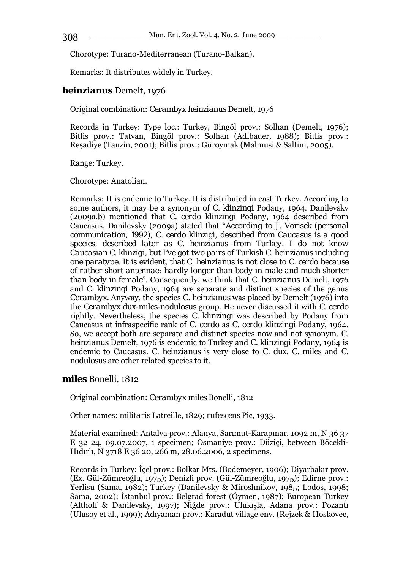Chorotype: Turano-Mediterranean (Turano-Balkan).

Remarks: It distributes widely in Turkey.

## *heinzianus* Demelt, 1976

Original combination: *Cerambyx heinzianus* Demelt, 1976

Records in Turkey: Type loc.: Turkey, Bingöl prov.: Solhan (Demelt, 1976); Bitlis prov.: Tatvan, Bingöl prov.: Solhan (Adlbauer, 1988); Bitlis prov.: Reşadiye (Tauzin, 2001); Bitlis prov.: Güroymak (Malmusi & Saltini, 2005).

Range: Turkey.

Chorotype: Anatolian.

Remarks: It is endemic to Turkey. It is distributed in east Turkey. According to some authors, it may be a synonym of *C. klinzingi* Podany, 1964. Danilevsky (2009a,b) mentioned that *C. cerdo klinzingi* Podany, 1964 described from Caucasus. Danilevsky (2009a) stated that "*According to J. Vorisek (personal communication, 1992), C. cerdo klinzigi, described from Caucasus is a good species, described later as C. heinzianus from Turkey. I do not know Caucasian C. klinzigi, but I've got two pairs of Turkish C. heinzianus including one paratype. It is evident, that C. heinzianus is not close to C. cerdo because of rather short antennae: hardly longer than body in male and much shorter than body in female*". Consequently, we think that *C. heinzianus* Demelt, 1976 and *C. klinzingi* Podany, 1964 are separate and distinct species of the genus *Cerambyx.* Anyway, the species *C. heinzianus* was placed by Demelt (1976) into the *Cerambyx dux-miles-nodulosus* group. He never discussed it with *C. cerdo*  rightly. Nevertheless, the species *C. klinzingi* was described by Podany from Caucasus at infraspecific rank of *C. cerdo* as *C. cerdo klinzingi* Podany, 1964. So, we accept both are separate and distinct species now and not synonym. *C. heinzianus* Demelt, 1976 is endemic to Turkey and *C. klinzingi* Podany, 1964 is endemic to Caucasus. *C. heinzianus* is very close to *C. dux. C. miles* and *C. nodulosus* are other related species to it.

### *miles* Bonelli, 1812

Original combination: *Cerambyx miles* Bonelli, 1812

Other names: *militaris* Latreille, 1829; *rufescens* Pic, 1933.

Material examined: Antalya prov.: Alanya, Sarımut-Karapınar, 1092 m, N 36 37 E 32 24, 09.07.2007, 1 specimen; Osmaniye prov.: Düziçi, between Böcekli-Hıdırlı, N 3718 E 36 20, 266 m, 28.06.2006, 2 specimens.

Records in Turkey: İçel prov.: Bolkar Mts. (Bodemeyer, 1906); Diyarbakır prov. (Ex. Gül-Zümreoğlu, 1975); Denizli prov. (Gül-Zümreoğlu, 1975); Edirne prov.: Yerlisu (Sama, 1982); Turkey (Danilevsky & Miroshnikov, 1985; Lodos, 1998; Sama, 2002); İstanbul prov.: Belgrad forest (Öymen, 1987); European Turkey (Althoff & Danilevsky, 1997); Niğde prov.: Ulukışla, Adana prov.: Pozantı (Ulusoy et al., 1999); Adıyaman prov.: Karadut village env. (Rejzek & Hoskovec,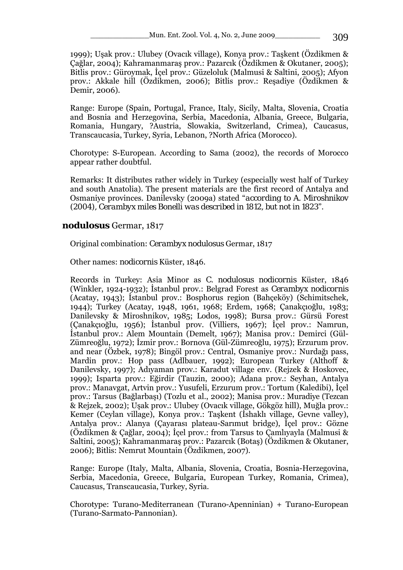1999); Uşak prov.: Ulubey (Ovacık village), Konya prov.: Taşkent (Özdikmen & Çağlar, 2004); Kahramanmaraş prov.: Pazarcık (Özdikmen & Okutaner, 2005); Bitlis prov.: Güroymak, İçel prov.: Güzeloluk (Malmusi & Saltini, 2005); Afyon prov.: Akkale hill (Özdikmen, 2006); Bitlis prov.: Reşadiye (Özdikmen & Demir, 2006).

Range: Europe (Spain, Portugal, France, Italy, Sicily, Malta, Slovenia, Croatia and Bosnia and Herzegovina, Serbia, Macedonia, Albania, Greece, Bulgaria, Romania, Hungary, ?Austria, Slowakia, Switzerland, Crimea), Caucasus, Transcaucasia, Turkey, Syria, Lebanon, ?North Africa (Morocco).

Chorotype: S-European. According to Sama (2002), the records of Morocco appear rather doubtful.

Remarks: It distributes rather widely in Turkey (especially west half of Turkey and south Anatolia). The present materials are the first record of Antalya and Osmaniye provinces. Danilevsky (2009a) stated "*according to A. Miroshnikov (2004), Cerambyx miles Bonelli was described in 1812, but not in 1823*".

### *nodulosus* Germar, 1817

Original combination: *Cerambyx nodulosus* Germar, 1817

Other names: *nodicornis* Küster, 1846.

Records in Turkey: Asia Minor as *C. nodulosus nodicornis* Küster, 1846 (Winkler, 1924-1932); İstanbul prov.: Belgrad Forest as *Cerambyx nodicornis* (Acatay, 1943); İstanbul prov.: Bosphorus region (Bahçeköy) (Schimitschek, 1944); Turkey (Acatay, 1948, 1961, 1968; Erdem, 1968; Çanakçıoğlu, 1983; Danilevsky & Miroshnikov, 1985; Lodos, 1998); Bursa prov.: Gürsü Forest (Çanakçıoğlu, 1956); İstanbul prov. (Villiers, 1967); İçel prov.: Namrun, İstanbul prov.: Alem Mountain (Demelt, 1967); Manisa prov.: Demirci (Gül-Zümreoğlu, 1972); İzmir prov.: Bornova (Gül-Zümreoğlu, 1975); Erzurum prov. and near (Özbek, 1978); Bingöl prov.: Central, Osmaniye prov.: Nurdağı pass, Mardin prov.: Hop pass (Adlbauer, 1992); European Turkey (Althoff & Danilevsky, 1997); Adıyaman prov.: Karadut village env. (Rejzek & Hoskovec, 1999); Isparta prov.: Eğirdir (Tauzin, 2000); Adana prov.: Seyhan, Antalya prov.: Manavgat, Artvin prov.: Yusufeli, Erzurum prov.: Tortum (Kaledibi), İçel prov.: Tarsus (Bağlarbaşı) (Tozlu et al., 2002); Manisa prov.: Muradiye (Tezcan & Rejzek, 2002); Uşak prov.: Ulubey (Ovacık village, Gökgöz hill), Muğla prov.: Kemer (Ceylan village), Konya prov.: Taşkent (İshaklı village, Gevne valley), Antalya prov.: Alanya (Çayarası plateau-Sarımut bridge), İçel prov.: Gözne (Özdikmen & Çağlar, 2004); İçel prov.: from Tarsus to Çamlıyayla (Malmusi & Saltini, 2005); Kahramanmaraş prov.: Pazarcık (Botaş) (Özdikmen & Okutaner, 2006); Bitlis: Nemrut Mountain (Özdikmen, 2007).

Range: Europe (Italy, Malta, Albania, Slovenia, Croatia, Bosnia-Herzegovina, Serbia, Macedonia, Greece, Bulgaria, European Turkey, Romania, Crimea), Caucasus, Transcaucasia, Turkey, Syria.

Chorotype: Turano-Mediterranean (Turano-Apenninian) + Turano-European (Turano-Sarmato-Pannonian).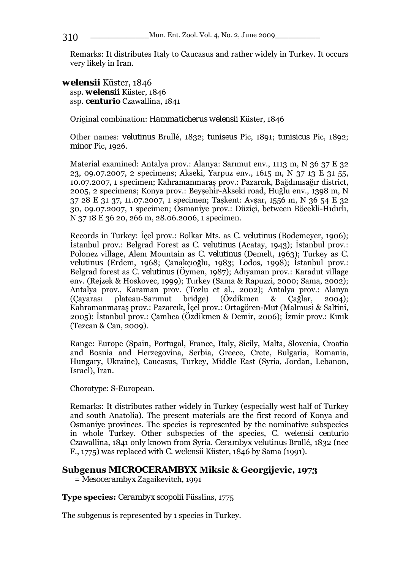\_\_\_\_\_\_\_\_\_\_\_\_\_Mun. Ent. Zool. Vol. 4, No. 2, June 2009\_\_\_\_\_\_\_\_\_\_ 310

Remarks: It distributes Italy to Caucasus and rather widely in Turkey. It occurs very likely in Iran.

*welensii* Küster, 1846 ssp. *welensii* Küster, 1846 ssp. *centurio* Czawallina, 1841

Original combination: *Hammaticherus welensii* Küster, 1846

Other names: *velutinus* Brullé, 1832; *tuniseus* Pic, 1891; *tunisicus* Pic, 1892; *minor* Pic, 1926.

Material examined: Antalya prov.: Alanya: Sarımut env., 1113 m, N 36 37 E 32 23, 09.07.2007, 2 specimens; Akseki, Yarpuz env., 1615 m, N 37 13 E 31 55, 10.07.2007, 1 specimen; Kahramanmaraş prov.: Pazarcık, Bağdınısağır district, 2005, 2 specimens; Konya prov.: Beyşehir-Akseki road, Huğlu env., 1398 m, N 37 28 E 31 37, 11.07.2007, 1 specimen; Taşkent: Avşar, 1556 m, N 36 54 E 32 30, 09.07.2007, 1 specimen; Osmaniye prov.: Düziçi, between Böcekli-Hıdırlı, N 37 18 E 36 20, 266 m, 28.06.2006, 1 specimen.

Records in Turkey: İçel prov.: Bolkar Mts. as *C. velutinus* (Bodemeyer, 1906); İstanbul prov.: Belgrad Forest as *C. velutinus* (Acatay, 1943); İstanbul prov.: Polonez village, Alem Mountain as *C. velutinus* (Demelt, 1963); Turkey as *C. velutinus* (Erdem, 1968; Çanakçıoğlu, 1983; Lodos, 1998); İstanbul prov.: Belgrad forest as *C. velutinus* (Öymen, 1987); Adıyaman prov.: Karadut village env. (Rejzek & Hoskovec, 1999); Turkey (Sama & Rapuzzi, 2000; Sama, 2002); Antalya prov., Karaman prov. (Tozlu et al., 2002); Antalya prov.: Alanya (Çayarası plateau-Sarımut bridge) (Özdikmen & Çağlar, 2004); Kahramanmaraş prov.: Pazarcık, İçel prov.: Ortagören-Mut (Malmusi & Saltini, 2005); İstanbul prov.: Çamlıca (Özdikmen & Demir, 2006); İzmir prov.: Kınık (Tezcan & Can, 2009).

Range: Europe (Spain, Portugal, France, Italy, Sicily, Malta, Slovenia, Croatia and Bosnia and Herzegovina, Serbia, Greece, Crete, Bulgaria, Romania, Hungary, Ukraine), Caucasus, Turkey, Middle East (Syria, Jordan, Lebanon, Israel), Iran.

Chorotype: S-European.

Remarks: It distributes rather widely in Turkey (especially west half of Turkey and south Anatolia). The present materials are the first record of Konya and Osmaniye provinces. The species is represented by the nominative subspecies in whole Turkey. Other subspecies of the species, *C. welensii centurio* Czawallina, 1841 only known from Syria. *Cerambyx velutinus* Brullé, 1832 (nec F., 1775) was replaced with *C. welensii* Küster, 1846 by Sama (1991).

# **Subgenus** *MICROCERAMBYX* **Miksic & Georgijevic, 1973**

= *Mesocerambyx* Zagaikevitch, 1991

### **Type species:** *Cerambyx scopolii* Füsslins, 1775

The subgenus is represented by 1 species in Turkey.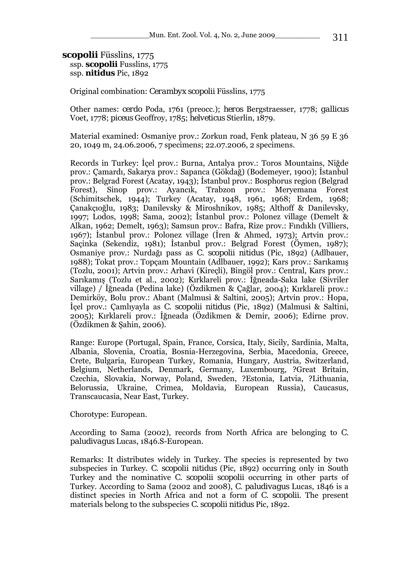#### *scopolii* Füsslins, 1775

 ssp. *scopolii* Fusslins, 1775 ssp. *nitidus* Pic, 1892

Original combination: *Cerambyx scopolii* Füsslins, 1775

Other names: *cerdo* Poda, 1761 (preocc.); *heros* Bergstraesser, 1778; *gallicus*  Voet, 1778; *piceus* Geoffroy, 1785; *helveticus* Stierlin, 1879.

Material examined: Osmaniye prov.: Zorkun road, Fenk plateau, N 36 59 E 36 20, 1049 m, 24.06.2006, 7 specimens; 22.07.2006, 2 specimens.

Records in Turkey: İçel prov.: Burna, Antalya prov.: Toros Mountains, Niğde prov.: Çamardı, Sakarya prov.: Sapanca (Gökdağ) (Bodemeyer, 1900); İstanbul prov.: Belgrad Forest (Acatay, 1943); İstanbul prov.: Bosphorus region (Belgrad Forest), Sinop prov.: Ayancık, Trabzon prov.: Meryemana Forest (Schimitschek, 1944); Turkey (Acatay, 1948, 1961, 1968; Erdem, 1968; Çanakçıoğlu, 1983; Danilevsky & Miroshnikov, 1985; Althoff & Danilevsky, 1997; Lodos, 1998; Sama, 2002); İstanbul prov.: Polonez village (Demelt & Alkan, 1962; Demelt, 1963); Samsun prov.: Bafra, Rize prov.: Fındıklı (Villiers, 1967); İstanbul prov.: Polonez village (İren & Ahmed, 1973); Artvin prov.: Saçinka (Sekendiz, 1981); İstanbul prov.: Belgrad Forest (Öymen, 1987); Osmaniye prov.: Nurdağı pass as *C. scopolii nitidus* (Pic, 1892) (Adlbauer, 1988); Tokat prov.: Topçam Mountain (Adlbauer, 1992); Kars prov.: Sarıkamış (Tozlu, 2001); Artvin prov.: Arhavi (Kireçli), Bingöl prov.: Central, Kars prov.: Sarıkamış (Tozlu et al., 2002); Kırklareli prov.: İğneada-Saka lake (Sivriler village) / İğneada (Pedina lake) (Özdikmen & Çağlar, 2004); Kırklareli prov.: Demirköy, Bolu prov.: Abant (Malmusi & Saltini, 2005); Artvin prov.: Hopa, İçel prov.: Çamlıyayla as *C. scopolii nitidus* (Pic, 1892) (Malmusi & Saltini, 2005); Kırklareli prov.: İğneada (Özdikmen & Demir, 2006); Edirne prov. (Özdikmen & Şahin, 2006).

Range: Europe (Portugal, Spain, France, Corsica, Italy, Sicily, Sardinia, Malta, Albania, Slovenia, Croatia, Bosnia-Herzegovina, Serbia, Macedonia, Greece, Crete, Bulgaria, European Turkey, Romania, Hungary, Austria, Switzerland, Belgium, Netherlands, Denmark, Germany, Luxembourg, ?Great Britain, Czechia, Slovakia, Norway, Poland, Sweden, ?Estonia, Latvia, ?Lithuania, Belorussia, Ukraine, Crimea, Moldavia, European Russia), Caucasus, Transcaucasia, Near East, Turkey.

Chorotype: European.

According to Sama (2002), records from North Africa are belonging to *C. paludivagus* Lucas, 1846.S-European.

Remarks: It distributes widely in Turkey. The species is represented by two subspecies in Turkey. *C. scopolii nitidus* (Pic, 1892) occurring only in South Turkey and the nominative *C. scopolii scopolii* occurring in other parts of Turkey. According to Sama (2002 and 2008), *C. paludivagus* Lucas, 1846 is a distinct species in North Africa and not a form of *C. scopolii*. The present materials belong to the subspecies *C. scopolii nitidus* Pic, 1892.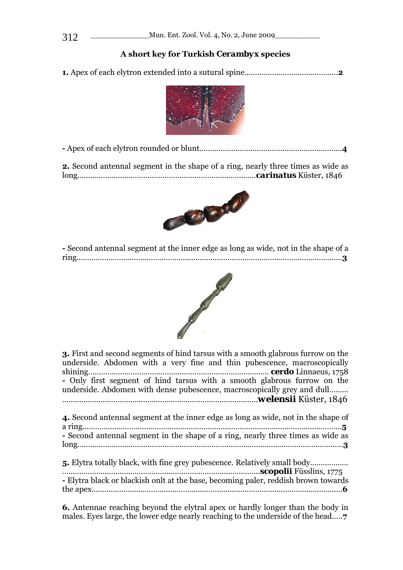# **A short key for Turkish** *Cerambyx* **species**

**1.** Apex of each elytron extended into a sutural spine.…….………………………………**2**



**-** Apex of each elytron rounded or blunt……………………….…………………………………**4**

**2.** Second antennal segment in the shape of a ring, nearly three times as wide as long….………………………………………………………………..……*carinatus* Küster, 1846



**-** Second antennal segment at the inner edge as long as wide, not in the shape of a ring..…………….…………………………………………………………………..…………………………**3**



| <b>3.</b> First and second segments of hind tarsus with a smooth glabrous furrow on the<br>underside. Abdomen with a very fine and thin pubescence, macroscopically<br>- Only first segment of hind tarsus with a smooth glabrous furrow on the<br>underside. Abdomen with dense pubescence, macroscopically grey and dull |
|----------------------------------------------------------------------------------------------------------------------------------------------------------------------------------------------------------------------------------------------------------------------------------------------------------------------------|
| 4. Second antennal segment at the inner edge as long as wide, not in the shape of<br>- Second antennal segment in the shape of a ring, nearly three times as wide as                                                                                                                                                       |
| - Elytra black or blackish onlt at the base, becoming paler, reddish brown towards                                                                                                                                                                                                                                         |

**6.** Antennae reaching beyond the elytral apex or hardly longer than the body in males. Eyes large, the lower edge nearly reaching to the underside of the head…..**7**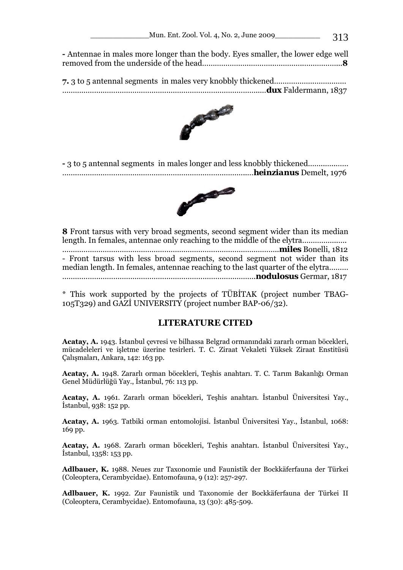| - Antennae in males more longer than the body. Eyes smaller, the lower edge well |
|----------------------------------------------------------------------------------|
|                                                                                  |



**-** 3 to 5 antennal segments in males longer and less knobbly thickened……..…..…… …….……………………………………………………………………..…*heinzianus* Demelt, 1976



**8** Front tarsus with very broad segments, second segment wider than its median length. In females, antennae only reaching to the middle of the elytra……………..…. …………………………………………………………………….…………………..*miles* Bonelli, 1812 - Front tarsus with less broad segments, second segment not wider than its median length. In females, antennae reaching to the last quarter of the elytra……… ……………………………………………………………………………….*nodulosus* Germar, 1817

\* This work supported by the projects of TÜBİTAK (project number TBAG-105T329) and GAZİ UNIVERSITY (project number BAP-06/32).

## **LITERATURE CITED**

**Acatay, A.** 1943. İstanbul çevresi ve bilhassa Belgrad ormanındaki zararlı orman böcekleri, mücadeleleri ve işletme üzerine tesirleri. T. C. Ziraat Vekaleti Yüksek Ziraat Enstitüsü Çalışmaları, Ankara, 142: 163 pp.

**Acatay, A.** 1948. Zararlı orman böcekleri, Teşhis anahtarı. T. C. Tarım Bakanlığı Orman Genel Müdürlüğü Yay., İstanbul, 76: 113 pp.

**Acatay, A.** 1961. Zararlı orman böcekleri, Teşhis anahtarı. İstanbul Üniversitesi Yay., İstanbul, 938: 152 pp.

**Acatay, A.** 1963. Tatbiki orman entomolojisi. İstanbul Üniversitesi Yay., İstanbul, 1068: 169 pp.

**Acatay, A.** 1968. Zararlı orman böcekleri, Teşhis anahtarı. İstanbul Üniversitesi Yay., İstanbul, 1358: 153 pp.

**Adlbauer, K.** 1988. Neues zur Taxonomie und Faunistik der Bockkäferfauna der Türkei (Coleoptera, Cerambycidae). Entomofauna, 9 (12): 257-297.

**Adlbauer, K.** 1992. Zur Faunistik und Taxonomie der Bockkäferfauna der Türkei II (Coleoptera, Cerambycidae). Entomofauna, 13 (30): 485-509.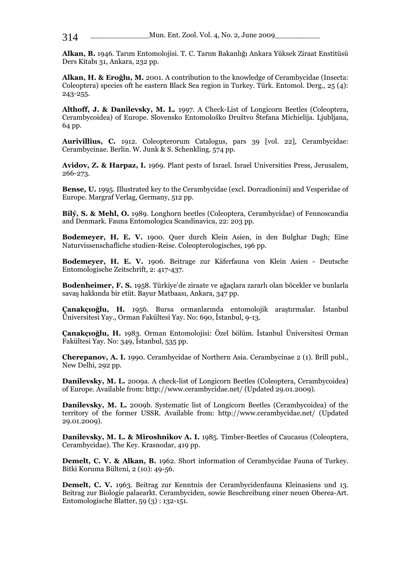**Alkan, B.** 1946. Tarım Entomolojisi. T. C. Tarım Bakanlığı Ankara Yüksek Ziraat Enstitüsü Ders Kitabı 31, Ankara, 232 pp.

**Alkan, H. & Eroğlu, M.** 2001. A contribution to the knowledge of Cerambycidae (Insecta: Coleoptera) species oft he eastern Black Sea region in Turkey. Türk. Entomol. Derg., 25 (4): 243-255.

**Althoff, J. & Danilevsky, M. L.** 1997. A Check-List of Longicorn Beetles (Coleoptera, Cerambycoidea) of Europe. Slovensko Entomološko Društvo Štefana Michielija. Ljubljana, 64 pp.

**Aurivillius, C.** 1912. Coleopterorum Catalogus, pars 39 [vol. 22], Cerambycidae: Cerambycinae. Berlin. W. Junk & S. Schenkling. 574 pp.

**Avidov, Z. & Harpaz, I.** 1969. Plant pests of Israel. Israel Universities Press, Jerusalem, 266-273.

**Bense, U.** 1995. Illustrated key to the Cerambycidae (excl. Dorcadionini) and Vesperidae of Europe. Margraf Verlag, Germany, 512 pp.

**Bílý, S. & Mehl, O.** 1989. Longhorn beetles (Coleoptera, Cerambycidae) of Fennoscandia and Denmark. Fauna Entomologica Scandinavica, 22: 203 pp.

**Bodemeyer, H. E. V.** 1900. Quer durch Klein Asien, in den Bulghar Dagh; Eine Naturvissenschafliche studien-Reise. Coleopterologisches, 196 pp.

**Bodemeyer, H. E. V.** 1906. Beitrage zur Käferfauna von Klein Asien - Deutsche Entomologische Zeitschrift, 2: 417-437.

**Bodenheimer, F. S.** 1958. Türkiye'de ziraate ve ağaçlara zararlı olan böcekler ve bunlarla savaş hakkında bir etüt. Bayur Matbaası, Ankara, 347 pp.

**Çanakçıoğlu, H.** 1956. Bursa ormanlarında entomolojik araştırmalar. İstanbul Üniversitesi Yay., Orman Fakültesi Yay. No: 690, İstanbul, 9-13.

**Çanakçıoğlu, H.** 1983. Orman Entomolojisi: Özel bölüm. İstanbul Üniversitesi Orman Fakültesi Yay. No: 349, İstanbul, 535 pp.

**Cherepanov, A. I.** 1990. Cerambycidae of Northern Asia. Cerambycinae 2 (1). Brill publ., New Delhi, 292 pp.

**Danilevsky, M. L.** 2009a. A check-list of Longicorn Beetles (Coleoptera, Cerambycoidea) of Europe. Available from: http://www.cerambycidae.net/ (Updated 29.01.2009).

**Danilevsky, M. L.** 2009b. Systematic list of Longicorn Beetles (Cerambycoidea) of the territory of the former USSR. Available from: http://www.cerambycidae.net/ (Updated 29.01.2009).

**Danilevsky, M. L. & Miroshnikov A. I.** 1985. Timber-Beetles of Caucasus (Coleoptera, Cerambycidae). The Key. Krasnodar, 419 pp.

**Demelt, C. V. & Alkan, B.** 1962. Short information of Cerambycidae Fauna of Turkey. Bitki Koruma Bülteni, 2 (10): 49-56.

**Demelt, C. V.** 1963. Beitrag zur Kenntnis der Cerambycidenfauna Kleinasiens und 13. Beitrag zur Biologie palaearkt. Cerambyciden, sowie Beschreibung einer neuen Oberea-Art. Entomologische Blatter, 59 (3) : 132-151.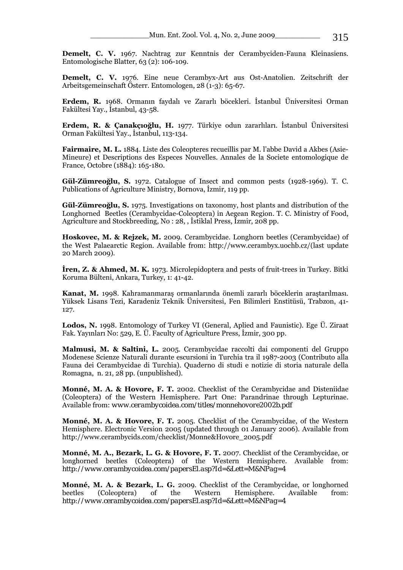**Demelt, C. V.** 1967. Nachtrag zur Kenntnis der Cerambyciden-Fauna Kleinasiens. Entomologische Blatter, 63 (2): 106-109.

**Demelt, C. V.** 1976. Eine neue Cerambyx-Art aus Ost-Anatolien. Zeitschrift der Arbeitsgemeinschaft Österr. Entomologen, 28 (1-3): 65-67.

**Erdem, R.** 1968. Ormanın faydalı ve Zararlı böcekleri. İstanbul Üniversitesi Orman Fakültesi Yay., İstanbul, 43-58.

**Erdem, R. & Çanakçıoğlu, H.** 1977. Türkiye odun zararlıları. İstanbul Üniversitesi Orman Fakültesi Yay., İstanbul, 113-134.

**Fairmaire, M. L.** 1884. Liste des Coleopteres recueillis par M. l'abbe David a Akbes (Asie-Mineure) et Descriptions des Especes Nouvelles. Annales de la Societe entomologique de France, Octobre (1884): 165-180.

**Gül-Zümreoğlu, S.** 1972. Catalogue of Insect and common pests (1928-1969). T. C. Publications of Agriculture Ministry, Bornova, İzmir, 119 pp.

**Gül-Zümreoğlu, S.** 1975. Investigations on taxonomy, host plants and distribution of the Longhorned Beetles (Cerambycidae-Coleoptera) in Aegean Region. T. C. Ministry of Food, Agriculture and Stockbreeding, No : 28, , İstiklal Press, İzmir, 208 pp.

**Hoskovec, M. & Rejzek, M.** 2009. Cerambycidae. Longhorn beetles (Cerambycidae) of the West Palaearctic Region. Available from: http://www.cerambyx.uochb.cz/(last update 20 March 2009).

**İren, Z. & Ahmed, M. K.** 1973. Microlepidoptera and pests of fruit-trees in Turkey. Bitki Koruma Bülteni, Ankara, Turkey, 1: 41-42.

**Kanat, M.** 1998. Kahramanmaraş ormanlarında önemli zararlı böceklerin araştarılması. Yüksek Lisans Tezi, Karadeniz Teknik Üniversitesi, Fen Bilimleri Enstitüsü, Trabzon, 41- 127.

**Lodos, N.** 1998. Entomology of Turkey VI (General, Aplied and Faunistic). Ege Ü. Ziraat Fak. Yayınları No: 529, E. Ü. Faculty of Agriculture Press, İzmir, 300 pp.

**Malmusi, M. & Saltini, L.** 2005. Cerambycidae raccolti dai componenti del Gruppo Modenese Scienze Naturali durante escursioni in Turchia tra il 1987-2003 (Contributo alla Fauna dei Cerambycidae di Turchia). Quaderno di studi e notizie di storia naturale della Romagna, n. 21, 28 pp. (unpublished).

**Monné, M. A. & Hovore, F. T.** 2002. Checklist of the Cerambycidae and Disteniidae (Coleoptera) of the Western Hemisphere. Part One: Parandrinae through Lepturinae. Available from: *www.cerambycoidea.com/titles/monnehovore2002b.pdf*

**Monné, M. A. & Hovore, F. T.** 2005. Checklist of the Cerambycidae, of the Western Hemisphere. Electronic Version 2005 (updated through 01 January 2006). Available from http://www.cerambycids.com/checklist/Monne&Hovore\_2005.pdf

**Monné, M. A., Bezark, L. G. & Hovore, F. T.** 2007. Checklist of the Cerambycidae, or longhorned beetles (Coleoptera) of the Western Hemisphere. Available from: *http://www.cerambycoidea.com/papersEl.asp?Id=&Lett=M&NPag=4*

**Monné, M. A. & Bezark, L. G.** 2009. Checklist of the Cerambycidae, or longhorned beetles (Coleoptera) of the Western Hemisphere. Available from: *http://www.cerambycoidea.com/papersEl.asp?Id=&Lett=M&NPag=4*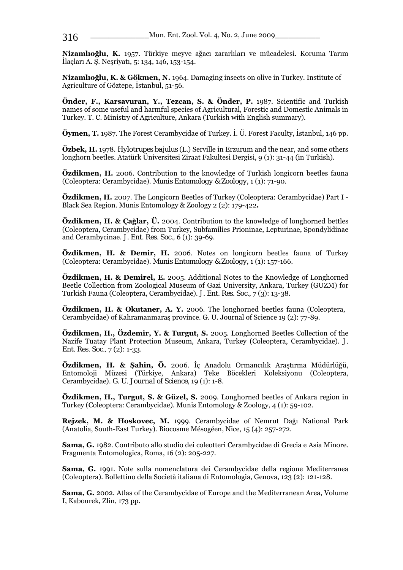**Nizamlıoğlu, K.** 1957. Türkiye meyve ağacı zararlıları ve mücadelesi. Koruma Tarım İlaçları A. Ş. Neşriyatı, 5: 134, 146, 153-154.

**Nizamlıoğlu, K. & Gökmen, N.** 1964. Damaging insects on olive in Turkey. Institute of Agriculture of Göztepe, İstanbul, 51-56.

**Önder, F., Karsavuran, Y., Tezcan, S. & Önder, P.** 1987. Scientific and Turkish names of some useful and harmful species of Agricultural, Forestic and Domestic Animals in Turkey. T. C. Ministry of Agriculture, Ankara (Turkish with English summary).

**Öymen, T.** 1987. The Forest Cerambycidae of Turkey. İ. Ü. Forest Faculty, İstanbul, 146 pp.

**Özbek, H.** 1978. *Hylotrupes bajulus* (L.) Serville in Erzurum and the near, and some others longhorn beetles. Atatürk Üniversitesi Ziraat Fakultesi Dergisi, 9 (1): 31-44 (in Turkish).

**Özdikmen, H.** 2006. Contribution to the knowledge of Turkish longicorn beetles fauna (Coleoptera: Cerambycidae). *Munis Entomology & Zoology*, 1 (1): 71-90.

**Özdikmen, H.** 2007. The Longicorn Beetles of Turkey (Coleoptera: Cerambycidae) Part I - Black Sea Region. Munis Entomology & Zoology 2 (2): 179-422**.** 

**Özdikmen, H. & Çağlar, Ü.** 2004. Contribution to the knowledge of longhorned bettles (Coleoptera, Cerambycidae) from Turkey, Subfamilies Prioninae, Lepturinae, Spondylidinae and Cerambycinae. *J. Ent. Res. Soc.,* 6 (1): 39-69.

**Özdikmen, H. & Demir, H.** 2006. Notes on longicorn beetles fauna of Turkey (Coleoptera: Cerambycidae). *Munis Entomology & Zoology*, 1 (1): 157-166.

**Özdikmen, H. & Demirel, E.** 2005. Additional Notes to the Knowledge of Longhorned Beetle Collection from Zoological Museum of Gazi University, Ankara, Turkey (GUZM) for Turkish Fauna (Coleoptera, Cerambycidae). *J. Ent. Res. Soc.*, 7 (3): 13-38.

**Özdikmen, H. & Okutaner, A. Y.** 2006. The longhorned beetles fauna (Coleoptera, Cerambycidae) of Kahramanmaraş province. G. U. Journal of Science 19 (2): 77-89.

**Özdikmen, H., Özdemir, Y. & Turgut, S.** 2005. Longhorned Beetles Collection of the Nazife Tuatay Plant Protection Museum, Ankara, Turkey (Coleoptera, Cerambycidae). *J. Ent. Res. Soc.,* 7 (2): 1-33.

**Özdikmen, H. & Şahin, Ö.** 2006. İç Anadolu Ormancılık Araştırma Müdürlüğü, Entomoloji Müzesi (Türkiye, Ankara) Teke Böcekleri Koleksiyonu (Coleoptera, Cerambycidae). *G. U. Journal of Science*, 19 (1): 1-8.

**Özdikmen, H., Turgut, S. & Güzel, S.** 2009. Longhorned beetles of Ankara region in Turkey (Coleoptera: Cerambycidae). Munis Entomology & Zoology, 4 (1): 59-102.

**Rejzek, M. & Hoskovec, M.** 1999. Cerambycidae of Nemrut Dağı National Park (Anatolia, South-East Turkey). Biocosme Mésogéen, Nice, 15 (4): 257-272.

**Sama, G.** 1982. Contributo allo studio dei coleotteri Cerambycidae di Grecia e Asia Minore. Fragmenta Entomologica, Roma, 16 (2): 205-227.

**Sama, G.** 1991. Note sulla nomenclatura dei Cerambycidae della regione Mediterranea (Coleoptera). Bollettino della Società italiana di Entomologia, Genova, 123 (2): 121-128.

**Sama, G.** 2002. Atlas of the Cerambycidae of Europe and the Mediterranean Area, Volume I, Kabourek, Zlin, 173 pp.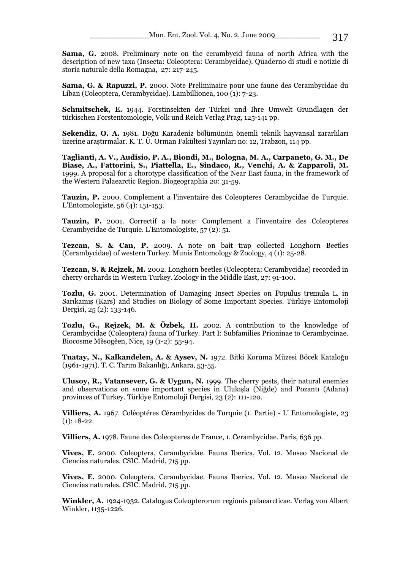**Sama, G.** 2008. Preliminary note on the cerambycid fauna of north Africa with the description of new taxa (Insecta: Coleoptera: Cerambycidae). Quaderno di studi e notizie di storia naturale della Romagna, 27: 217-245.

**Sama, G. & Rapuzzi, P.** 2000. Note Preliminaire pour une faune des Cerambycidae du Liban (Coleoptera, Cerambycidae). Lambillionea, 100 (1): 7-23.

**Schmitschek, E.** 1944. Forstinsekten der Türkei und Ihre Umwelt Grundlagen der türkischen Forstentomologie, Volk und Reich Verlag Prag, 125-141 pp.

**Sekendiz, O. A.** 1981. Doğu Karadeniz bölümünün önemli teknik hayvansal zararlıları üzerine araştırmalar. K. T. Ü. Orman Fakültesi Yayınları no: 12, Trabzon, 114 pp.

**Taglianti, A. V., Audisio, P. A., Biondi, M., Bologna, M. A., Carpaneto, G. M., De Biase, A., Fattorini, S., Piattella, E., Sindaco, R., Venchi, A. & Zapparoli, M.**  1999. A proposal for a chorotype classification of the Near East fauna, in the framework of the Western Palaearctic Region. Biogeographia 20: 31-59.

**Tauzin, P.** 2000. Complement a l'inventaire des Coleopteres Cerambycidae de Turquie. L'Entomologiste, 56 (4): 151-153.

**Tauzin, P.** 2001. Correctif a la note: Complement a l'inventaire des Coleopteres Cerambycidae de Turquie. L'Entomologiste, 57 (2): 51.

**Tezcan, S. & Can, P.** 2009. A note on bait trap collected Longhorn Beetles (Cerambycidae) of western Turkey. Munis Entomology & Zoology, 4 (1): 25-28.

**Tezcan, S. & Rejzek, M.** 2002. Longhorn beetles (Coleoptera: Cerambycidae) recorded in cherry orchards in Western Turkey. Zoology in the Middle East, 27: 91-100.

**Tozlu, G.** 2001. Determination of Damaging Insect Species on *Populus tremula* L. in Sarıkamış (Kars) and Studies on Biology of Some Important Species. Türkiye Entomoloji Dergisi, 25 (2): 133-146.

**Tozlu, G., Rejzek, M. & Özbek, H.** 2002. A contribution to the knowledge of Cerambycidae (Coleoptera) fauna of Turkey. Part I: Subfamilies Prioninae to Cerambycinae. Biocosme Mèsogèen, Nice, 19 (1-2): 55-94.

**Tuatay, N., Kalkandelen, A. & Aysev, N.** 1972. Bitki Koruma Müzesi Böcek Kataloğu (1961-1971). T. C. Tarım Bakanlığı, Ankara, 53-55.

**Ulusoy, R., Vatansever, G. & Uygun, N.** 1999. The cherry pests, their natural enemies and observations on some important species in Ulukışla (Niğde) and Pozantı (Adana) provinces of Turkey. Türkiye Entomoloji Dergisi, 23 (2): 111-120.

**Villiers, A.** 1967. Coléoptéres Cérambycides de Turquie (1. Partie) - L' Entomologiste, 23  $(1)$ : 18-22.

**Villiers, A.** 1978. Faune des Coleopteres de France, 1. Cerambycidae. Paris, 636 pp.

**Vives, E.** 2000. Coleoptera, Cerambycidae. Fauna Iberica, Vol. 12. Museo Nacional de Ciencias naturales. CSIC. Madrid, 715 pp.

**Vives, E.** 2000. Coleoptera, Cerambycidae. Fauna Iberica, Vol. 12. Museo Nacional de Ciencias naturales. CSIC. Madrid, 715 pp.

**Winkler, A.** 1924-1932. Catalogus Coleopterorum regionis palaearcticae. Verlag von Albert Winkler, 1135-1226.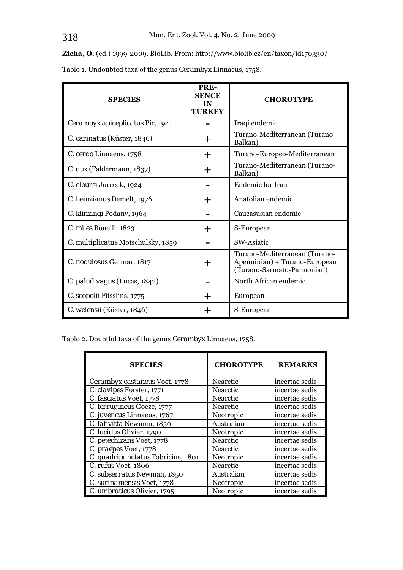**Zicha, O.** (ed.) 1999-2009. BioLib. From: http://www.biolib.cz/en/taxon/id170330/

| <b>SPECIES</b>                     | PRE-<br><b>SENCE</b><br>IN<br><b>TURKEY</b> | <b>CHOROTYPE</b>                                                                             |  |
|------------------------------------|---------------------------------------------|----------------------------------------------------------------------------------------------|--|
| Cerambyx apiceplicatus Pic, 1941   |                                             | Iraqi endemic                                                                                |  |
| C. carinatus (Küster, 1846)        |                                             | Turano-Mediterranean (Turano-<br>Balkan)                                                     |  |
| C. cerdo Linnaeus, 1758            | ┿                                           | Turano-Europeo-Mediterranean                                                                 |  |
| C. dux (Faldermann, 1837)          | +                                           | Turano-Mediterranean (Turano-<br>Balkan)                                                     |  |
| C. elbursi Jurecek, 1924           |                                             | Endemic for Iran                                                                             |  |
| C. heinzianus Demelt, 1976         |                                             | Anatolian endemic                                                                            |  |
| C. klinzingi Podany, 1964          |                                             | Caucasusian endemic                                                                          |  |
| C. miles Bonelli, 1823             | ┿                                           | S-European                                                                                   |  |
| C. multiplicatus Motschulsky, 1859 |                                             | SW-Asiatic                                                                                   |  |
| C. nodulosus Germar, 1817          | ┿                                           | Turano-Mediterranean (Turano-<br>Apenninian) + Turano-European<br>(Turano-Sarmato-Pannonian) |  |
| C. paludivagus (Lucas, 1842)       |                                             | North African endemic                                                                        |  |
| C. scopolii Füsslins, 1775         |                                             | European                                                                                     |  |
| C. welensii (Küster, 1846)         |                                             | S-European                                                                                   |  |

Tablo 1. Undoubted taxa of the genus *Cerambyx* Linnaeus, 1758.

Tablo 2. Doubtful taxa of the genus *Cerambyx* Linnaeus, 1758.

| <b>SPECIES</b>                            | <b>CHOROTYPE</b> | <b>REMARKS</b> |
|-------------------------------------------|------------------|----------------|
| Cerambyx castaneus Voet, 1778             | <b>Nearctic</b>  | incertae sedis |
| C. clavipes Forster, 1771                 | Nearctic         | incertae sedis |
| C. fasciatus Voet, 1778                   | Nearctic         | incertae sedis |
| C. ferrugineus Goeze, 1777                | Nearctic         | incertae sedis |
| C. juvencus Linnaeus, 1767                | Neotropic        | incertae sedis |
| C. lativitta Newman, 1850                 | Australian       | incertae sedis |
| C. lucidus Olivier, 1790                  | Neotropic        | incertae sedis |
| C. petechizans Voet, 1778                 | Nearctic         | incertae sedis |
| C. praepes Voet, 1778                     | Nearctic         | incertae sedis |
| C. quadripunctatus Fabricius, 1801        | Neotropic        | incertae sedis |
| C. rufus Voet, 1806                       | Nearctic         | incertae sedis |
| $\overline{C}$ . subserratus Newman, 1850 | Australian       | incertae sedis |
| C. surinamensis Voet, 1778                | Neotropic        | incertae sedis |
| C. umbraticus Olivier, 1795               | Neotropic        | incertae sedis |